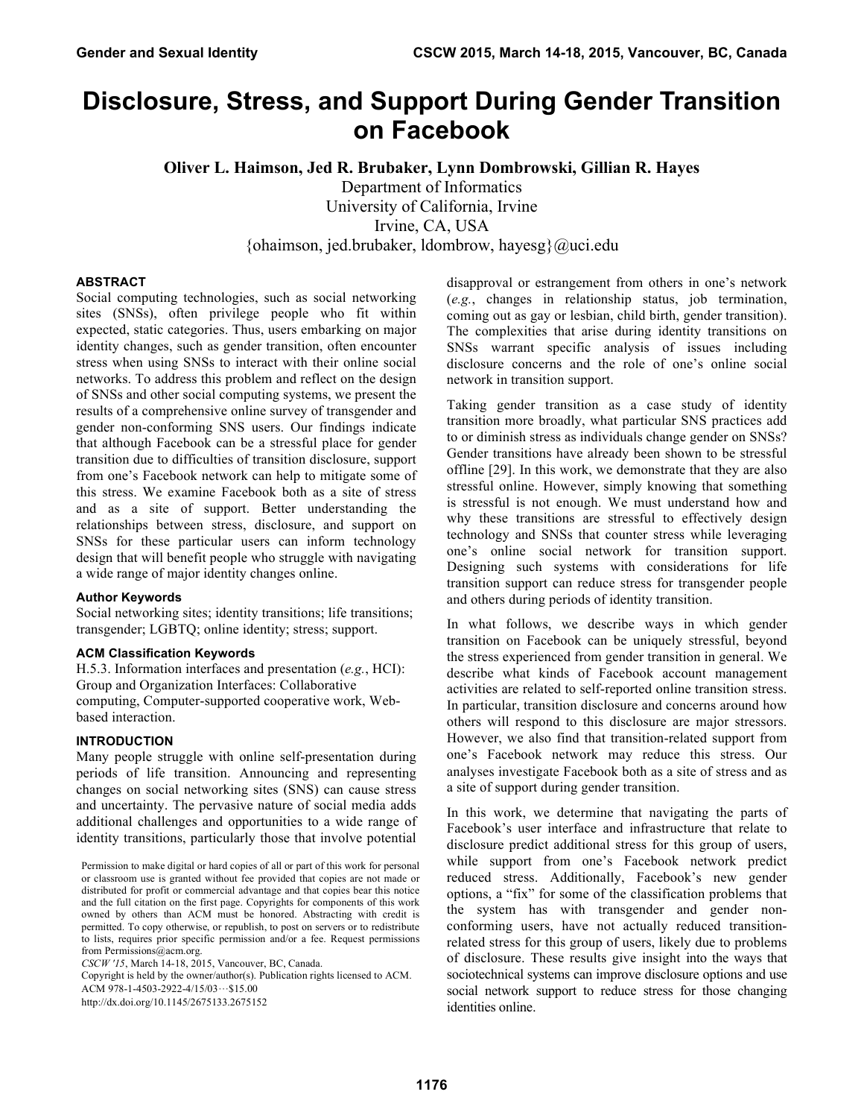# **Disclosure, Stress, and Support During Gender Transition on Facebook**

**Oliver L. Haimson, Jed R. Brubaker, Lynn Dombrowski, Gillian R. Hayes** 

Department of Informatics University of California, Irvine Irvine, CA, USA

{ohaimson, jed.brubaker, ldombrow, hayesg}@uci.edu

# **ABSTRACT**

Social computing technologies, such as social networking sites (SNSs), often privilege people who fit within expected, static categories. Thus, users embarking on major identity changes, such as gender transition, often encounter stress when using SNSs to interact with their online social networks. To address this problem and reflect on the design of SNSs and other social computing systems, we present the results of a comprehensive online survey of transgender and gender non-conforming SNS users. Our findings indicate that although Facebook can be a stressful place for gender transition due to difficulties of transition disclosure, support from one's Facebook network can help to mitigate some of this stress. We examine Facebook both as a site of stress and as a site of support. Better understanding the relationships between stress, disclosure, and support on SNSs for these particular users can inform technology design that will benefit people who struggle with navigating a wide range of major identity changes online.

# **Author Keywords**

Social networking sites; identity transitions; life transitions; transgender; LGBTQ; online identity; stress; support.

# **ACM Classification Keywords**

H.5.3. Information interfaces and presentation (*e.g.*, HCI): Group and Organization Interfaces: Collaborative computing, Computer-supported cooperative work, Webbased interaction.

# **INTRODUCTION**

Many people struggle with online self-presentation during periods of life transition. Announcing and representing changes on social networking sites (SNS) can cause stress and uncertainty. The pervasive nature of social media adds additional challenges and opportunities to a wide range of identity transitions, particularly those that involve potential

Copyright is held by the owner/author(s). Publication rights licensed to ACM. ACM 978-1-4503-2922-4/15/03…\$15.00

http://dx.doi.org/10.1145/2675133.2675152

disapproval or estrangement from others in one's network (*e.g.*, changes in relationship status, job termination, coming out as gay or lesbian, child birth, gender transition). The complexities that arise during identity transitions on SNSs warrant specific analysis of issues including disclosure concerns and the role of one's online social network in transition support.

Taking gender transition as a case study of identity transition more broadly, what particular SNS practices add to or diminish stress as individuals change gender on SNSs? Gender transitions have already been shown to be stressful offline [29]. In this work, we demonstrate that they are also stressful online. However, simply knowing that something is stressful is not enough. We must understand how and why these transitions are stressful to effectively design technology and SNSs that counter stress while leveraging one's online social network for transition support. Designing such systems with considerations for life transition support can reduce stress for transgender people and others during periods of identity transition.

In what follows, we describe ways in which gender transition on Facebook can be uniquely stressful, beyond the stress experienced from gender transition in general. We describe what kinds of Facebook account management activities are related to self-reported online transition stress. In particular, transition disclosure and concerns around how others will respond to this disclosure are major stressors. However, we also find that transition-related support from one's Facebook network may reduce this stress. Our analyses investigate Facebook both as a site of stress and as a site of support during gender transition.

In this work, we determine that navigating the parts of Facebook's user interface and infrastructure that relate to disclosure predict additional stress for this group of users, while support from one's Facebook network predict reduced stress. Additionally, Facebook's new gender options, a "fix" for some of the classification problems that the system has with transgender and gender nonconforming users, have not actually reduced transitionrelated stress for this group of users, likely due to problems of disclosure. These results give insight into the ways that sociotechnical systems can improve disclosure options and use social network support to reduce stress for those changing identities online.

Permission to make digital or hard copies of all or part of this work for personal or classroom use is granted without fee provided that copies are not made or distributed for profit or commercial advantage and that copies bear this notice and the full citation on the first page. Copyrights for components of this work owned by others than ACM must be honored. Abstracting with credit is permitted. To copy otherwise, or republish, to post on servers or to redistribute to lists, requires prior specific permission and/or a fee. Request permissions from Permissions@acm.org.

*CSCW '15*, March 14-18, 2015, Vancouver, BC, Canada.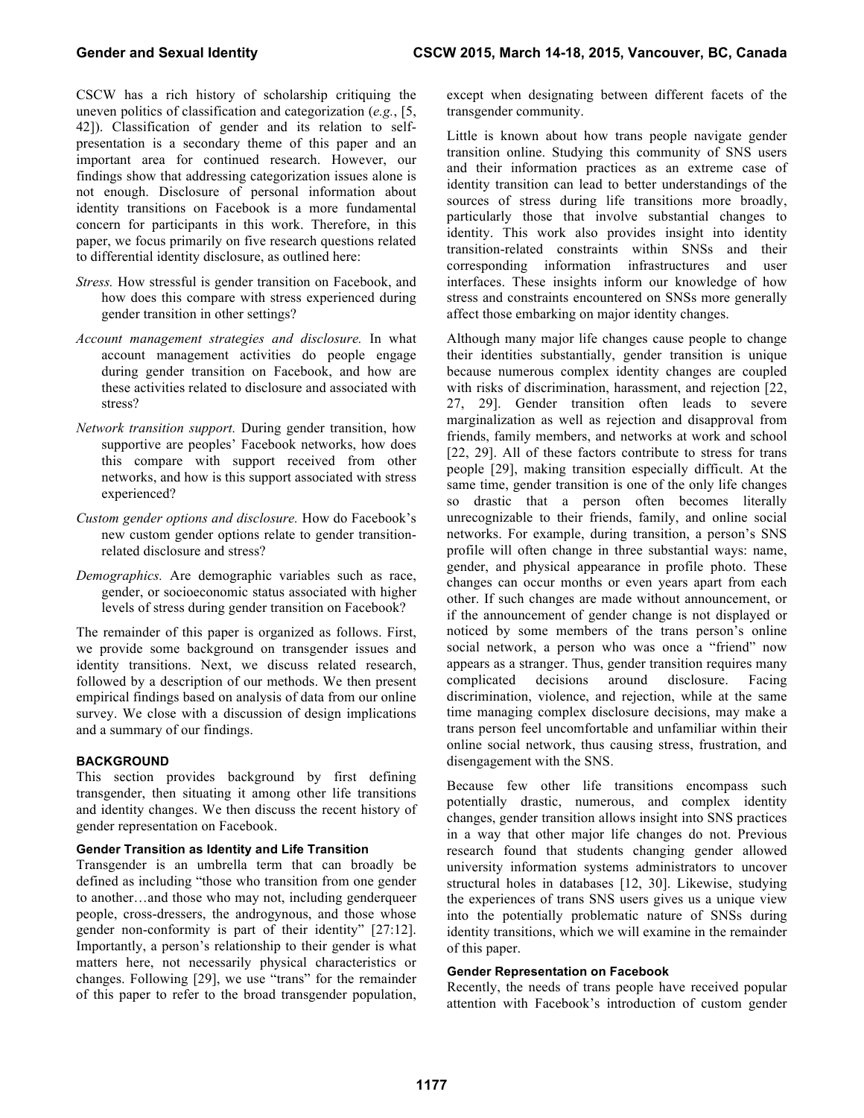CSCW has a rich history of scholarship critiquing the uneven politics of classification and categorization (*e.g.*, [5, 42]). Classification of gender and its relation to selfpresentation is a secondary theme of this paper and an important area for continued research. However, our findings show that addressing categorization issues alone is not enough. Disclosure of personal information about identity transitions on Facebook is a more fundamental concern for participants in this work. Therefore, in this paper, we focus primarily on five research questions related to differential identity disclosure, as outlined here:

- *Stress.* How stressful is gender transition on Facebook, and how does this compare with stress experienced during gender transition in other settings?
- *Account management strategies and disclosure.* In what account management activities do people engage during gender transition on Facebook, and how are these activities related to disclosure and associated with stress?
- *Network transition support.* During gender transition, how supportive are peoples' Facebook networks, how does this compare with support received from other networks, and how is this support associated with stress experienced?
- *Custom gender options and disclosure.* How do Facebook's new custom gender options relate to gender transitionrelated disclosure and stress?
- *Demographics.* Are demographic variables such as race, gender, or socioeconomic status associated with higher levels of stress during gender transition on Facebook?

The remainder of this paper is organized as follows. First, we provide some background on transgender issues and identity transitions. Next, we discuss related research, followed by a description of our methods. We then present empirical findings based on analysis of data from our online survey. We close with a discussion of design implications and a summary of our findings.

#### **BACKGROUND**

This section provides background by first defining transgender, then situating it among other life transitions and identity changes. We then discuss the recent history of gender representation on Facebook.

# **Gender Transition as Identity and Life Transition**

Transgender is an umbrella term that can broadly be defined as including "those who transition from one gender to another…and those who may not, including genderqueer people, cross-dressers, the androgynous, and those whose gender non-conformity is part of their identity" [27:12]. Importantly, a person's relationship to their gender is what matters here, not necessarily physical characteristics or changes. Following [29], we use "trans" for the remainder of this paper to refer to the broad transgender population, except when designating between different facets of the transgender community.

Little is known about how trans people navigate gender transition online. Studying this community of SNS users and their information practices as an extreme case of identity transition can lead to better understandings of the sources of stress during life transitions more broadly, particularly those that involve substantial changes to identity. This work also provides insight into identity transition-related constraints within SNSs and their corresponding information infrastructures and user interfaces. These insights inform our knowledge of how stress and constraints encountered on SNSs more generally affect those embarking on major identity changes.

Although many major life changes cause people to change their identities substantially, gender transition is unique because numerous complex identity changes are coupled with risks of discrimination, harassment, and rejection [22, 27, 29]. Gender transition often leads to severe marginalization as well as rejection and disapproval from friends, family members, and networks at work and school [22, 29]. All of these factors contribute to stress for trans people [29], making transition especially difficult. At the same time, gender transition is one of the only life changes so drastic that a person often becomes literally unrecognizable to their friends, family, and online social networks. For example, during transition, a person's SNS profile will often change in three substantial ways: name, gender, and physical appearance in profile photo. These changes can occur months or even years apart from each other. If such changes are made without announcement, or if the announcement of gender change is not displayed or noticed by some members of the trans person's online social network, a person who was once a "friend" now appears as a stranger. Thus, gender transition requires many complicated decisions around disclosure. Facing discrimination, violence, and rejection, while at the same time managing complex disclosure decisions, may make a trans person feel uncomfortable and unfamiliar within their online social network, thus causing stress, frustration, and disengagement with the SNS.

Because few other life transitions encompass such potentially drastic, numerous, and complex identity changes, gender transition allows insight into SNS practices in a way that other major life changes do not. Previous research found that students changing gender allowed university information systems administrators to uncover structural holes in databases [12, 30]. Likewise, studying the experiences of trans SNS users gives us a unique view into the potentially problematic nature of SNSs during identity transitions, which we will examine in the remainder of this paper.

#### **Gender Representation on Facebook**

Recently, the needs of trans people have received popular attention with Facebook's introduction of custom gender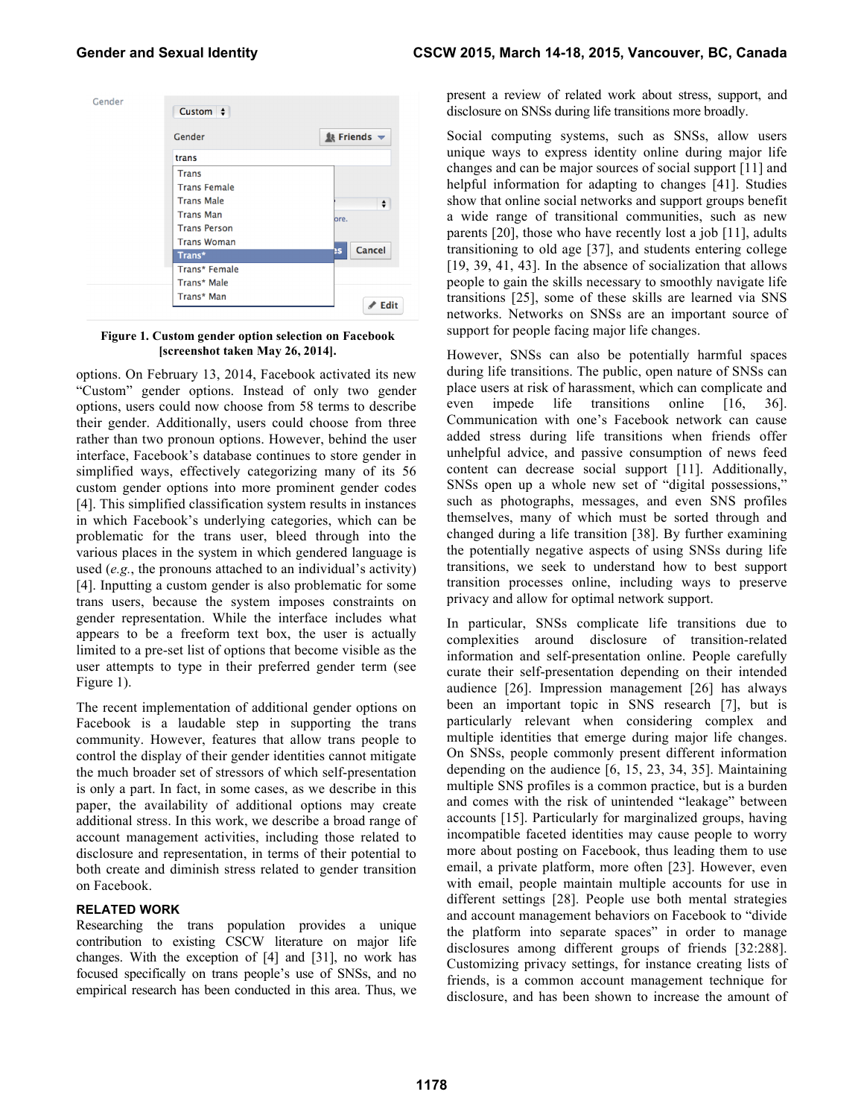

**Figure 1. Custom gender option selection on Facebook [screenshot taken May 26, 2014].**

options. On February 13, 2014, Facebook activated its new "Custom" gender options. Instead of only two gender options, users could now choose from 58 terms to describe their gender. Additionally, users could choose from three rather than two pronoun options. However, behind the user interface, Facebook's database continues to store gender in simplified ways, effectively categorizing many of its 56 custom gender options into more prominent gender codes [4]. This simplified classification system results in instances in which Facebook's underlying categories, which can be problematic for the trans user, bleed through into the various places in the system in which gendered language is used (*e.g.*, the pronouns attached to an individual's activity) [4]. Inputting a custom gender is also problematic for some trans users, because the system imposes constraints on gender representation. While the interface includes what appears to be a freeform text box, the user is actually limited to a pre-set list of options that become visible as the user attempts to type in their preferred gender term (see Figure 1).

The recent implementation of additional gender options on Facebook is a laudable step in supporting the trans community. However, features that allow trans people to control the display of their gender identities cannot mitigate the much broader set of stressors of which self-presentation is only a part. In fact, in some cases, as we describe in this paper, the availability of additional options may create additional stress. In this work, we describe a broad range of account management activities, including those related to disclosure and representation, in terms of their potential to both create and diminish stress related to gender transition on Facebook.

#### **RELATED WORK**

Researching the trans population provides a unique contribution to existing CSCW literature on major life changes. With the exception of [4] and [31], no work has focused specifically on trans people's use of SNSs, and no empirical research has been conducted in this area. Thus, we present a review of related work about stress, support, and disclosure on SNSs during life transitions more broadly.

Social computing systems, such as SNSs, allow users unique ways to express identity online during major life changes and can be major sources of social support [11] and helpful information for adapting to changes [41]. Studies show that online social networks and support groups benefit a wide range of transitional communities, such as new parents [20], those who have recently lost a job [11], adults transitioning to old age [37], and students entering college [19, 39, 41, 43]. In the absence of socialization that allows people to gain the skills necessary to smoothly navigate life transitions [25], some of these skills are learned via SNS networks. Networks on SNSs are an important source of support for people facing major life changes.

However, SNSs can also be potentially harmful spaces during life transitions. The public, open nature of SNSs can place users at risk of harassment, which can complicate and even impede life transitions online [16, 36]. Communication with one's Facebook network can cause added stress during life transitions when friends offer unhelpful advice, and passive consumption of news feed content can decrease social support [11]. Additionally, SNSs open up a whole new set of "digital possessions," such as photographs, messages, and even SNS profiles themselves, many of which must be sorted through and changed during a life transition [38]. By further examining the potentially negative aspects of using SNSs during life transitions, we seek to understand how to best support transition processes online, including ways to preserve privacy and allow for optimal network support.

In particular, SNSs complicate life transitions due to complexities around disclosure of transition-related information and self-presentation online. People carefully curate their self-presentation depending on their intended audience [26]. Impression management [26] has always been an important topic in SNS research [7], but is particularly relevant when considering complex and multiple identities that emerge during major life changes. On SNSs, people commonly present different information depending on the audience [6, 15, 23, 34, 35]. Maintaining multiple SNS profiles is a common practice, but is a burden and comes with the risk of unintended "leakage" between accounts [15]. Particularly for marginalized groups, having incompatible faceted identities may cause people to worry more about posting on Facebook, thus leading them to use email, a private platform, more often [23]. However, even with email, people maintain multiple accounts for use in different settings [28]. People use both mental strategies and account management behaviors on Facebook to "divide the platform into separate spaces" in order to manage disclosures among different groups of friends [32:288]. Customizing privacy settings, for instance creating lists of friends, is a common account management technique for disclosure, and has been shown to increase the amount of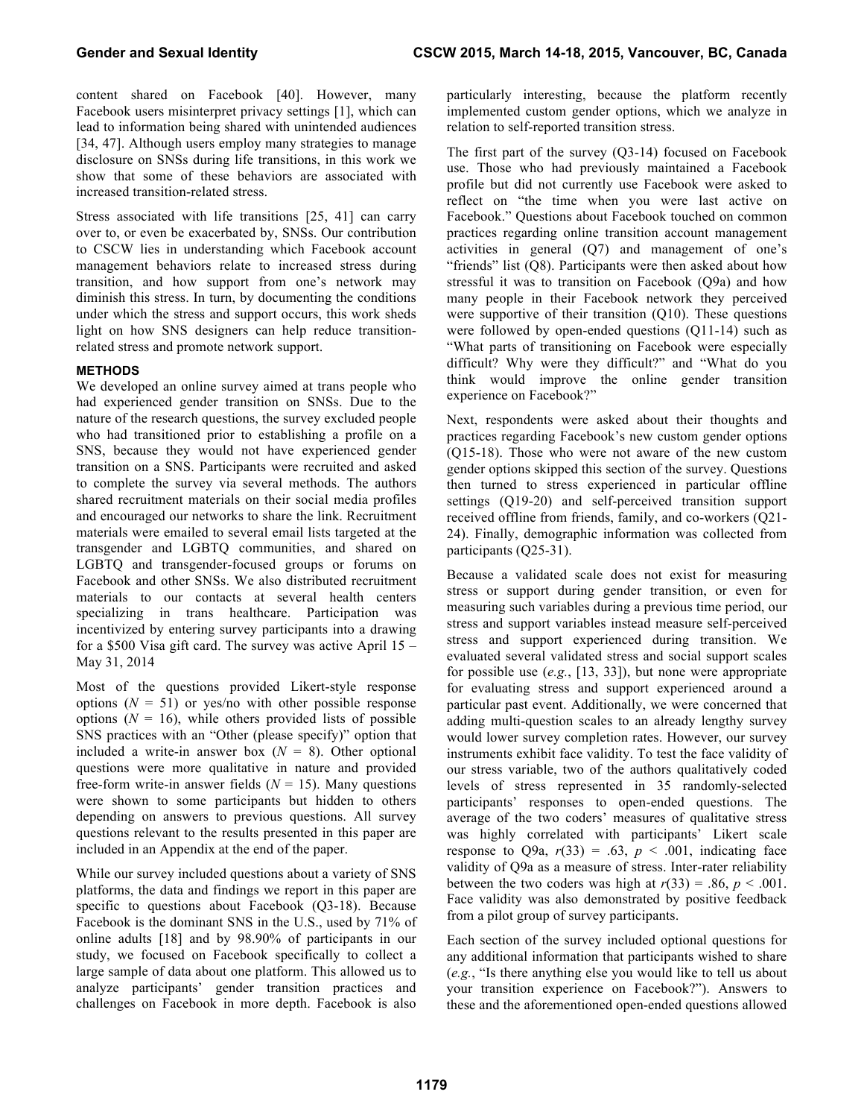content shared on Facebook [40]. However, many Facebook users misinterpret privacy settings [1], which can lead to information being shared with unintended audiences [34, 47]. Although users employ many strategies to manage disclosure on SNSs during life transitions, in this work we show that some of these behaviors are associated with increased transition-related stress.

Stress associated with life transitions [25, 41] can carry over to, or even be exacerbated by, SNSs. Our contribution to CSCW lies in understanding which Facebook account management behaviors relate to increased stress during transition, and how support from one's network may diminish this stress. In turn, by documenting the conditions under which the stress and support occurs, this work sheds light on how SNS designers can help reduce transitionrelated stress and promote network support.

# **METHODS**

We developed an online survey aimed at trans people who had experienced gender transition on SNSs. Due to the nature of the research questions, the survey excluded people who had transitioned prior to establishing a profile on a SNS, because they would not have experienced gender transition on a SNS. Participants were recruited and asked to complete the survey via several methods. The authors shared recruitment materials on their social media profiles and encouraged our networks to share the link. Recruitment materials were emailed to several email lists targeted at the transgender and LGBTQ communities, and shared on LGBTQ and transgender-focused groups or forums on Facebook and other SNSs. We also distributed recruitment materials to our contacts at several health centers specializing in trans healthcare. Participation was incentivized by entering survey participants into a drawing for a \$500 Visa gift card. The survey was active April 15 – May 31, 2014

Most of the questions provided Likert-style response options  $(N = 51)$  or yes/no with other possible response options  $(N = 16)$ , while others provided lists of possible SNS practices with an "Other (please specify)" option that included a write-in answer box  $(N = 8)$ . Other optional questions were more qualitative in nature and provided free-form write-in answer fields  $(N = 15)$ . Many questions were shown to some participants but hidden to others depending on answers to previous questions. All survey questions relevant to the results presented in this paper are included in an Appendix at the end of the paper.

While our survey included questions about a variety of SNS platforms, the data and findings we report in this paper are specific to questions about Facebook (Q3-18). Because Facebook is the dominant SNS in the U.S., used by 71% of online adults [18] and by 98.90% of participants in our study, we focused on Facebook specifically to collect a large sample of data about one platform. This allowed us to analyze participants' gender transition practices and challenges on Facebook in more depth. Facebook is also

particularly interesting, because the platform recently implemented custom gender options, which we analyze in relation to self-reported transition stress.

The first part of the survey (Q3-14) focused on Facebook use. Those who had previously maintained a Facebook profile but did not currently use Facebook were asked to reflect on "the time when you were last active on Facebook." Questions about Facebook touched on common practices regarding online transition account management activities in general (Q7) and management of one's "friends" list (Q8). Participants were then asked about how stressful it was to transition on Facebook (Q9a) and how many people in their Facebook network they perceived were supportive of their transition (Q10). These questions were followed by open-ended questions (Q11-14) such as "What parts of transitioning on Facebook were especially difficult? Why were they difficult?" and "What do you think would improve the online gender transition experience on Facebook?"

Next, respondents were asked about their thoughts and practices regarding Facebook's new custom gender options (Q15-18). Those who were not aware of the new custom gender options skipped this section of the survey. Questions then turned to stress experienced in particular offline settings (Q19-20) and self-perceived transition support received offline from friends, family, and co-workers (Q21- 24). Finally, demographic information was collected from participants (Q25-31).

Because a validated scale does not exist for measuring stress or support during gender transition, or even for measuring such variables during a previous time period, our stress and support variables instead measure self-perceived stress and support experienced during transition. We evaluated several validated stress and social support scales for possible use (*e.g.*, [13, 33]), but none were appropriate for evaluating stress and support experienced around a particular past event. Additionally, we were concerned that adding multi-question scales to an already lengthy survey would lower survey completion rates. However, our survey instruments exhibit face validity. To test the face validity of our stress variable, two of the authors qualitatively coded levels of stress represented in 35 randomly-selected participants' responses to open-ended questions. The average of the two coders' measures of qualitative stress was highly correlated with participants' Likert scale response to  $Q9a$ ,  $r(33) = .63$ ,  $p < .001$ , indicating face validity of Q9a as a measure of stress. Inter-rater reliability between the two coders was high at  $r(33) = .86$ ,  $p < .001$ . Face validity was also demonstrated by positive feedback from a pilot group of survey participants.

Each section of the survey included optional questions for any additional information that participants wished to share (*e.g.*, "Is there anything else you would like to tell us about your transition experience on Facebook?"). Answers to these and the aforementioned open-ended questions allowed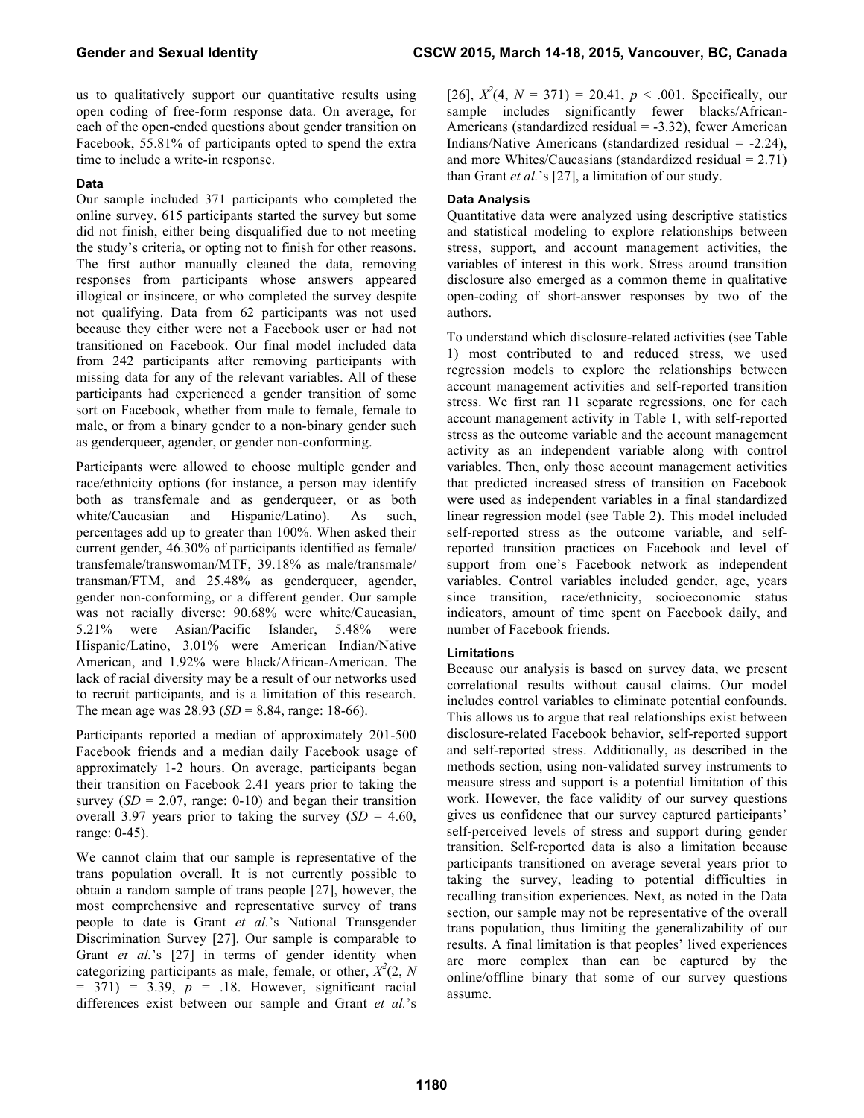us to qualitatively support our quantitative results using open coding of free-form response data. On average, for each of the open-ended questions about gender transition on Facebook, 55.81% of participants opted to spend the extra time to include a write-in response.

# **Data**

Our sample included 371 participants who completed the online survey. 615 participants started the survey but some did not finish, either being disqualified due to not meeting the study's criteria, or opting not to finish for other reasons. The first author manually cleaned the data, removing responses from participants whose answers appeared illogical or insincere, or who completed the survey despite not qualifying. Data from 62 participants was not used because they either were not a Facebook user or had not transitioned on Facebook. Our final model included data from 242 participants after removing participants with missing data for any of the relevant variables. All of these participants had experienced a gender transition of some sort on Facebook, whether from male to female, female to male, or from a binary gender to a non-binary gender such as genderqueer, agender, or gender non-conforming.

Participants were allowed to choose multiple gender and race/ethnicity options (for instance, a person may identify both as transfemale and as genderqueer, or as both white/Caucasian and Hispanic/Latino). As such, percentages add up to greater than 100%. When asked their current gender, 46.30% of participants identified as female/ transfemale/transwoman/MTF, 39.18% as male/transmale/ transman/FTM, and 25.48% as genderqueer, agender, gender non-conforming, or a different gender. Our sample was not racially diverse: 90.68% were white/Caucasian, 5.21% were Asian/Pacific Islander, 5.48% were Hispanic/Latino, 3.01% were American Indian/Native American, and 1.92% were black/African-American. The lack of racial diversity may be a result of our networks used to recruit participants, and is a limitation of this research. The mean age was 28.93 (*SD* = 8.84, range: 18-66).

Participants reported a median of approximately 201-500 Facebook friends and a median daily Facebook usage of approximately 1-2 hours. On average, participants began their transition on Facebook 2.41 years prior to taking the survey  $(SD = 2.07$ , range: 0-10) and began their transition overall 3.97 years prior to taking the survey  $(SD = 4.60)$ , range: 0-45).

We cannot claim that our sample is representative of the trans population overall. It is not currently possible to obtain a random sample of trans people [27], however, the most comprehensive and representative survey of trans people to date is Grant *et al.*'s National Transgender Discrimination Survey [27]. Our sample is comparable to Grant *et al.*'s [27] in terms of gender identity when categorizing participants as male, female, or other,  $X^2(2, N)$  $= 371$ ) = 3.39,  $p = 0.18$ . However, significant racial differences exist between our sample and Grant *et al.*'s

[26],  $X^2(4, N = 371) = 20.41, p < .001$ . Specifically, our sample includes significantly fewer blacks/African-Americans (standardized residual  $= -3.32$ ), fewer American Indians/Native Americans (standardized residual  $= -2.24$ ), and more Whites/Caucasians (standardized residual  $= 2.71$ ) than Grant *et al.*'s [27], a limitation of our study.

# **Data Analysis**

Quantitative data were analyzed using descriptive statistics and statistical modeling to explore relationships between stress, support, and account management activities, the variables of interest in this work. Stress around transition disclosure also emerged as a common theme in qualitative open-coding of short-answer responses by two of the authors.

To understand which disclosure-related activities (see Table 1) most contributed to and reduced stress, we used regression models to explore the relationships between account management activities and self-reported transition stress. We first ran 11 separate regressions, one for each account management activity in Table 1, with self-reported stress as the outcome variable and the account management activity as an independent variable along with control variables. Then, only those account management activities that predicted increased stress of transition on Facebook were used as independent variables in a final standardized linear regression model (see Table 2). This model included self-reported stress as the outcome variable, and selfreported transition practices on Facebook and level of support from one's Facebook network as independent variables. Control variables included gender, age, years since transition, race/ethnicity, socioeconomic status indicators, amount of time spent on Facebook daily, and number of Facebook friends.

# **Limitations**

Because our analysis is based on survey data, we present correlational results without causal claims. Our model includes control variables to eliminate potential confounds. This allows us to argue that real relationships exist between disclosure-related Facebook behavior, self-reported support and self-reported stress. Additionally, as described in the methods section, using non-validated survey instruments to measure stress and support is a potential limitation of this work. However, the face validity of our survey questions gives us confidence that our survey captured participants' self-perceived levels of stress and support during gender transition. Self-reported data is also a limitation because participants transitioned on average several years prior to taking the survey, leading to potential difficulties in recalling transition experiences. Next, as noted in the Data section, our sample may not be representative of the overall trans population, thus limiting the generalizability of our results. A final limitation is that peoples' lived experiences are more complex than can be captured by the online/offline binary that some of our survey questions assume.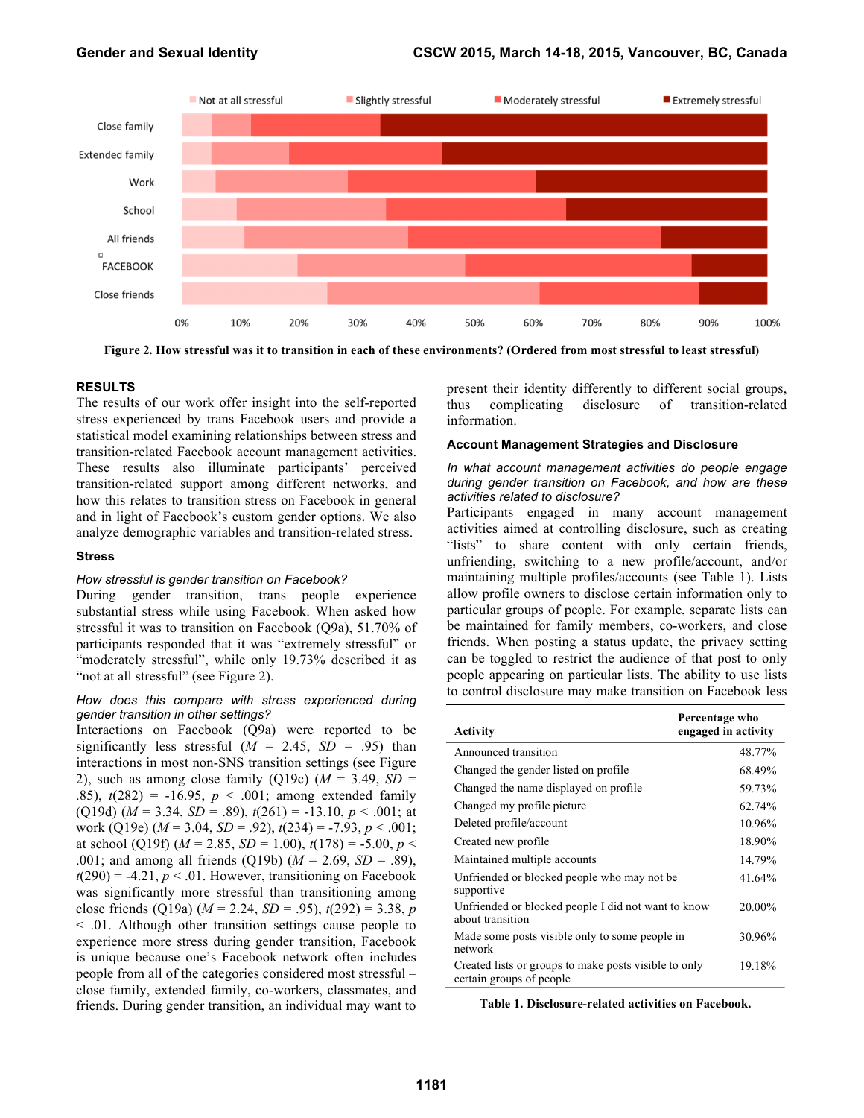

**Figure 2. How stressful was it to transition in each of these environments? (Ordered from most stressful to least stressful)**

#### **RESULTS**

The results of our work offer insight into the self-reported stress experienced by trans Facebook users and provide a statistical model examining relationships between stress and transition-related Facebook account management activities. These results also illuminate participants' perceived transition-related support among different networks, and how this relates to transition stress on Facebook in general and in light of Facebook's custom gender options. We also analyze demographic variables and transition-related stress.

#### **Stress**

#### *How stressful is gender transition on Facebook?*

During gender transition, trans people experience substantial stress while using Facebook. When asked how stressful it was to transition on Facebook (Q9a), 51.70% of participants responded that it was "extremely stressful" or "moderately stressful", while only 19.73% described it as "not at all stressful" (see Figure 2).

#### *How does this compare with stress experienced during gender transition in other settings?*

Interactions on Facebook (Q9a) were reported to be significantly less stressful  $(M = 2.45, SD = .95)$  than interactions in most non-SNS transition settings (see Figure 2), such as among close family (Q19c)  $(M = 3.49, SD =$ .85), *t*(282) = -16.95, *p* < .001; among extended family (Q19d) (*M* = 3.34, *SD* = .89), *t*(261) = -13.10, *p* < .001; at work (Q19e) (*M* = 3.04, *SD* = .92), *t*(234) = -7.93, *p* < .001; at school (Q19f) ( $M = 2.85$ ,  $SD = 1.00$ ),  $t(178) = -5.00$ ,  $p <$ .001; and among all friends (Q19b) (*M* = 2.69, *SD* = .89),  $t(290) = -4.21$ ,  $p < .01$ . However, transitioning on Facebook was significantly more stressful than transitioning among close friends (Q19a)  $(M = 2.24, SD = .95)$ ,  $t(292) = 3.38, p$ < .01. Although other transition settings cause people to experience more stress during gender transition, Facebook is unique because one's Facebook network often includes people from all of the categories considered most stressful – close family, extended family, co-workers, classmates, and friends. During gender transition, an individual may want to

present their identity differently to different social groups, thus complicating disclosure of transition-related information.

#### **Account Management Strategies and Disclosure**

#### *In what account management activities do people engage during gender transition on Facebook, and how are these activities related to disclosure?*

Participants engaged in many account management activities aimed at controlling disclosure, such as creating "lists" to share content with only certain friends, unfriending, switching to a new profile/account, and/or maintaining multiple profiles/accounts (see Table 1). Lists allow profile owners to disclose certain information only to particular groups of people. For example, separate lists can be maintained for family members, co-workers, and close friends. When posting a status update, the privacy setting can be toggled to restrict the audience of that post to only people appearing on particular lists. The ability to use lists to control disclosure may make transition on Facebook less

| <b>Activity</b>                                                                   | Percentage who<br>engaged in activity |
|-----------------------------------------------------------------------------------|---------------------------------------|
| Announced transition                                                              | 48.77%                                |
| Changed the gender listed on profile                                              | 68.49%                                |
| Changed the name displayed on profile                                             | 59.73%                                |
| Changed my profile picture                                                        | 62.74%                                |
| Deleted profile/account                                                           | 10.96%                                |
| Created new profile                                                               | 18.90%                                |
| Maintained multiple accounts                                                      | 14.79%                                |
| Unfriended or blocked people who may not be.<br>supportive                        | 41.64%                                |
| Unfriended or blocked people I did not want to know<br>about transition           | 20.00%                                |
| Made some posts visible only to some people in<br>network                         | 30.96%                                |
| Created lists or groups to make posts visible to only<br>certain groups of people | 19.18%                                |

**Table 1. Disclosure-related activities on Facebook.**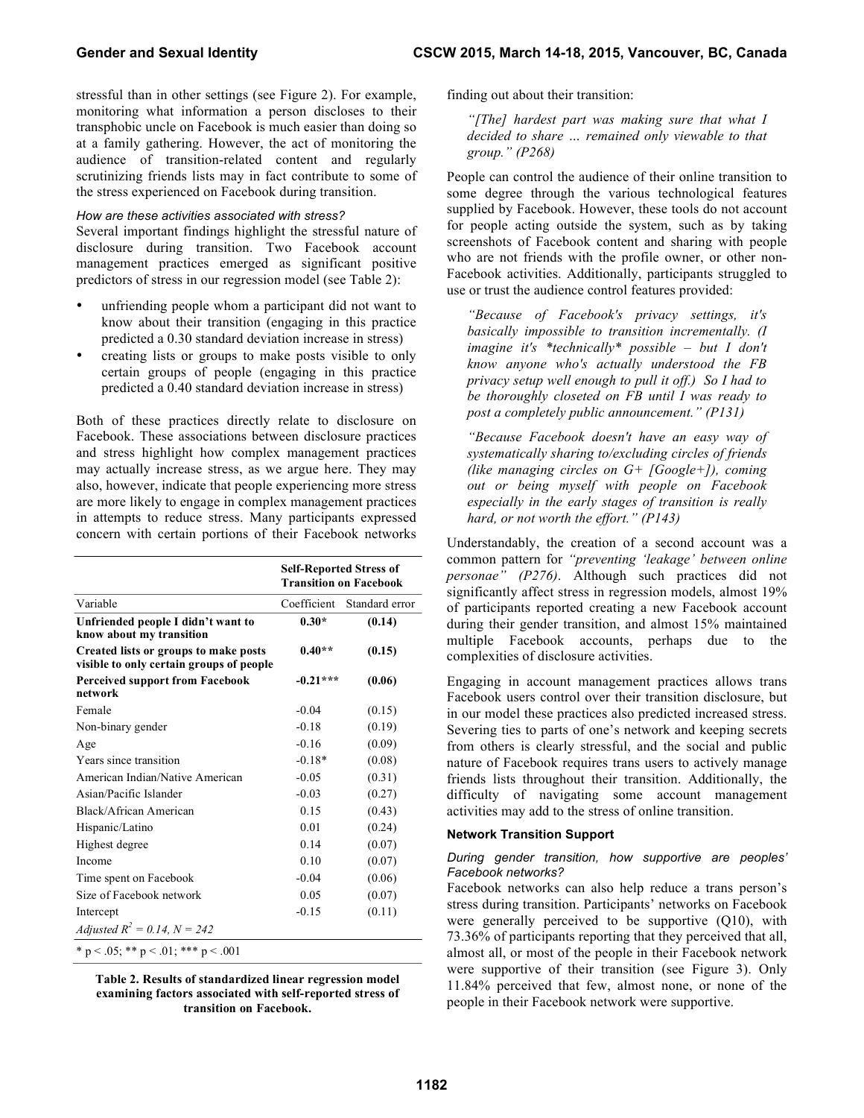stressful than in other settings (see Figure 2). For example, monitoring what information a person discloses to their transphobic uncle on Facebook is much easier than doing so at a family gathering. However, the act of monitoring the audience of transition-related content and regularly scrutinizing friends lists may in fact contribute to some of the stress experienced on Facebook during transition.

#### *How are these activities associated with stress?*

Several important findings highlight the stressful nature of disclosure during transition. Two Facebook account management practices emerged as significant positive predictors of stress in our regression model (see Table 2):

- unfriending people whom a participant did not want to know about their transition (engaging in this practice predicted a 0.30 standard deviation increase in stress)
- creating lists or groups to make posts visible to only certain groups of people (engaging in this practice predicted a 0.40 standard deviation increase in stress)

Both of these practices directly relate to disclosure on Facebook. These associations between disclosure practices and stress highlight how complex management practices may actually increase stress, as we argue here. They may also, however, indicate that people experiencing more stress are more likely to engage in complex management practices in attempts to reduce stress. Many participants expressed concern with certain portions of their Facebook networks

|                                                                                   | <b>Self-Reported Stress of</b><br><b>Transition on Facebook</b> |                |
|-----------------------------------------------------------------------------------|-----------------------------------------------------------------|----------------|
| Variable                                                                          | Coefficient                                                     | Standard error |
| Unfriended people I didn't want to<br>know about my transition                    | $0.30*$                                                         | (0.14)         |
| Created lists or groups to make posts<br>visible to only certain groups of people | $0.40**$                                                        | (0.15)         |
| <b>Perceived support from Facebook</b>                                            | $-0.21***$                                                      | (0.06)         |
| network                                                                           |                                                                 |                |
| Female                                                                            | $-0.04$                                                         | (0.15)         |
| Non-binary gender                                                                 | $-0.18$                                                         | (0.19)         |
| Age                                                                               | $-0.16$                                                         | (0.09)         |
| Years since transition                                                            | $-0.18*$                                                        | (0.08)         |
| American Indian/Native American                                                   | $-0.05$                                                         | (0.31)         |
| Asian/Pacific Islander                                                            | $-0.03$                                                         | (0.27)         |
| <b>Black/African American</b>                                                     | 0.15                                                            | (0.43)         |
| Hispanic/Latino                                                                   | 0.01                                                            | (0.24)         |
| Highest degree                                                                    | 0.14                                                            | (0.07)         |
| Income                                                                            | 0.10                                                            | (0.07)         |
| Time spent on Facebook                                                            | $-0.04$                                                         | (0.06)         |
| Size of Facebook network                                                          | 0.05                                                            | (0.07)         |
| Intercept                                                                         | $-0.15$                                                         | (0.11)         |
| Adjusted $R^2 = 0.14$ , $N = 242$                                                 |                                                                 |                |
| * $p < .05$ ; ** $p < .01$ ; *** $p < .001$                                       |                                                                 |                |

**Table 2. Results of standardized linear regression model examining factors associated with self-reported stress of transition on Facebook.** 

finding out about their transition:

*"[The] hardest part was making sure that what I decided to share … remained only viewable to that group." (P268)*

People can control the audience of their online transition to some degree through the various technological features supplied by Facebook. However, these tools do not account for people acting outside the system, such as by taking screenshots of Facebook content and sharing with people who are not friends with the profile owner, or other non-Facebook activities. Additionally, participants struggled to use or trust the audience control features provided:

*"Because of Facebook's privacy settings, it's basically impossible to transition incrementally. (I imagine it's \*technically\* possible – but I don't know anyone who's actually understood the FB privacy setup well enough to pull it off.) So I had to be thoroughly closeted on FB until I was ready to post a completely public announcement." (P131)*

*"Because Facebook doesn't have an easy way of systematically sharing to/excluding circles of friends (like managing circles on G+ [Google+]), coming out or being myself with people on Facebook especially in the early stages of transition is really hard, or not worth the effort." (P143)*

Understandably, the creation of a second account was a common pattern for *"preventing 'leakage' between online personae" (P276)*. Although such practices did not significantly affect stress in regression models, almost 19% of participants reported creating a new Facebook account during their gender transition, and almost 15% maintained multiple Facebook accounts, perhaps due to the complexities of disclosure activities.

Engaging in account management practices allows trans Facebook users control over their transition disclosure, but in our model these practices also predicted increased stress. Severing ties to parts of one's network and keeping secrets from others is clearly stressful, and the social and public nature of Facebook requires trans users to actively manage friends lists throughout their transition. Additionally, the difficulty of navigating some account management activities may add to the stress of online transition.

#### **Network Transition Support**

#### *During gender transition, how supportive are peoples' Facebook networks?*

Facebook networks can also help reduce a trans person's stress during transition. Participants' networks on Facebook were generally perceived to be supportive (Q10), with 73.36% of participants reporting that they perceived that all, almost all, or most of the people in their Facebook network were supportive of their transition (see Figure 3). Only 11.84% perceived that few, almost none, or none of the people in their Facebook network were supportive.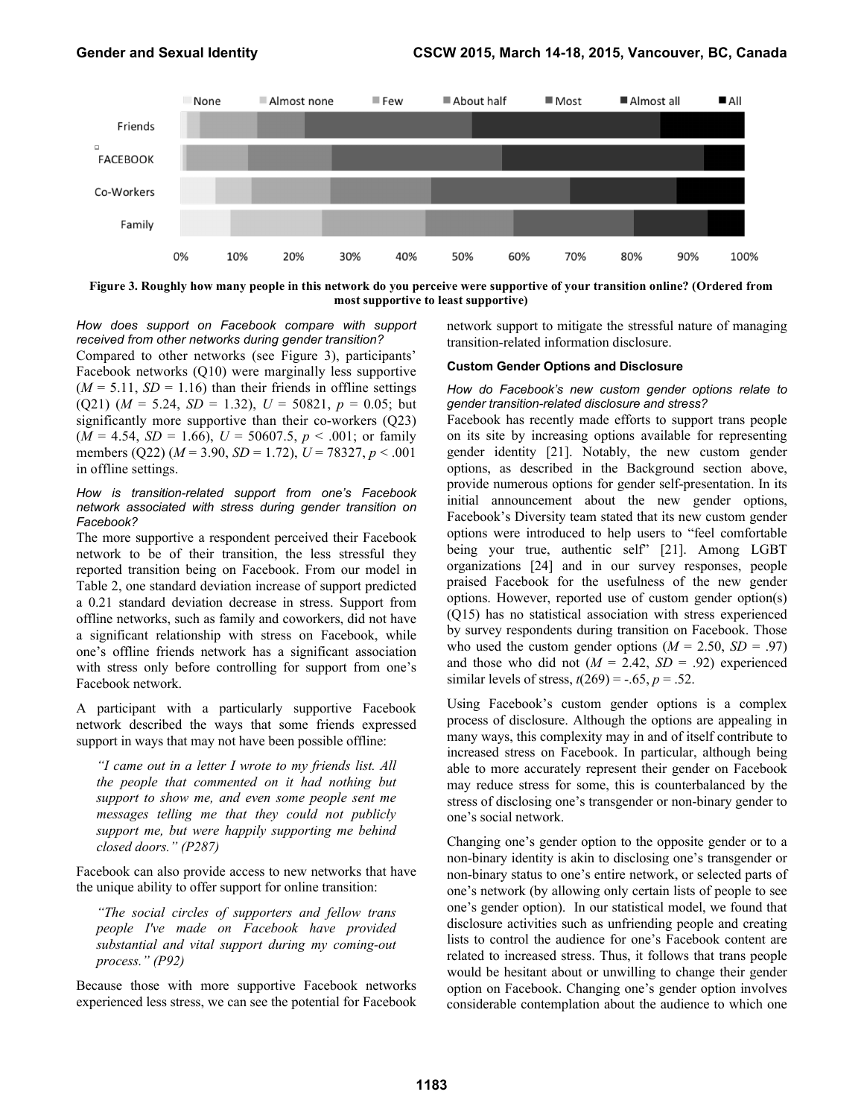

**Figure 3. Roughly how many people in this network do you perceive were supportive of your transition online? (Ordered from most supportive to least supportive)**

*How does support on Facebook compare with support received from other networks during gender transition?* 

Compared to other networks (see Figure 3), participants' Facebook networks (Q10) were marginally less supportive  $(M = 5.11, SD = 1.16)$  than their friends in offline settings (Q21)  $(M = 5.24, SD = 1.32), U = 50821, p = 0.05$ ; but significantly more supportive than their co-workers (Q23)  $(M = 4.54, SD = 1.66), U = 50607.5, p < .001$ ; or family members (Q22) (*M* = 3.90, *SD* = 1.72), *U* = 78327, *p* < .001 in offline settings.

#### *How is transition-related support from one's Facebook network associated with stress during gender transition on Facebook?*

The more supportive a respondent perceived their Facebook network to be of their transition, the less stressful they reported transition being on Facebook. From our model in Table 2, one standard deviation increase of support predicted a 0.21 standard deviation decrease in stress. Support from offline networks, such as family and coworkers, did not have a significant relationship with stress on Facebook, while one's offline friends network has a significant association with stress only before controlling for support from one's Facebook network.

A participant with a particularly supportive Facebook network described the ways that some friends expressed support in ways that may not have been possible offline:

*"I came out in a letter I wrote to my friends list. All the people that commented on it had nothing but support to show me, and even some people sent me messages telling me that they could not publicly support me, but were happily supporting me behind closed doors." (P287)*

Facebook can also provide access to new networks that have the unique ability to offer support for online transition:

*"The social circles of supporters and fellow trans people I've made on Facebook have provided substantial and vital support during my coming-out process." (P92)*

Because those with more supportive Facebook networks experienced less stress, we can see the potential for Facebook network support to mitigate the stressful nature of managing transition-related information disclosure.

# **Custom Gender Options and Disclosure**

#### *How do Facebook's new custom gender options relate to gender transition-related disclosure and stress?*

Facebook has recently made efforts to support trans people on its site by increasing options available for representing gender identity [21]. Notably, the new custom gender options, as described in the Background section above, provide numerous options for gender self-presentation. In its initial announcement about the new gender options, Facebook's Diversity team stated that its new custom gender options were introduced to help users to "feel comfortable being your true, authentic self" [21]. Among LGBT organizations [24] and in our survey responses, people praised Facebook for the usefulness of the new gender options. However, reported use of custom gender option(s) (Q15) has no statistical association with stress experienced by survey respondents during transition on Facebook. Those who used the custom gender options  $(M = 2.50, SD = .97)$ and those who did not  $(M = 2.42, SD = .92)$  experienced similar levels of stress,  $t(269) = -.65$ ,  $p = .52$ .

Using Facebook's custom gender options is a complex process of disclosure. Although the options are appealing in many ways, this complexity may in and of itself contribute to increased stress on Facebook. In particular, although being able to more accurately represent their gender on Facebook may reduce stress for some, this is counterbalanced by the stress of disclosing one's transgender or non-binary gender to one's social network.

Changing one's gender option to the opposite gender or to a non-binary identity is akin to disclosing one's transgender or non-binary status to one's entire network, or selected parts of one's network (by allowing only certain lists of people to see one's gender option). In our statistical model, we found that disclosure activities such as unfriending people and creating lists to control the audience for one's Facebook content are related to increased stress. Thus, it follows that trans people would be hesitant about or unwilling to change their gender option on Facebook. Changing one's gender option involves considerable contemplation about the audience to which one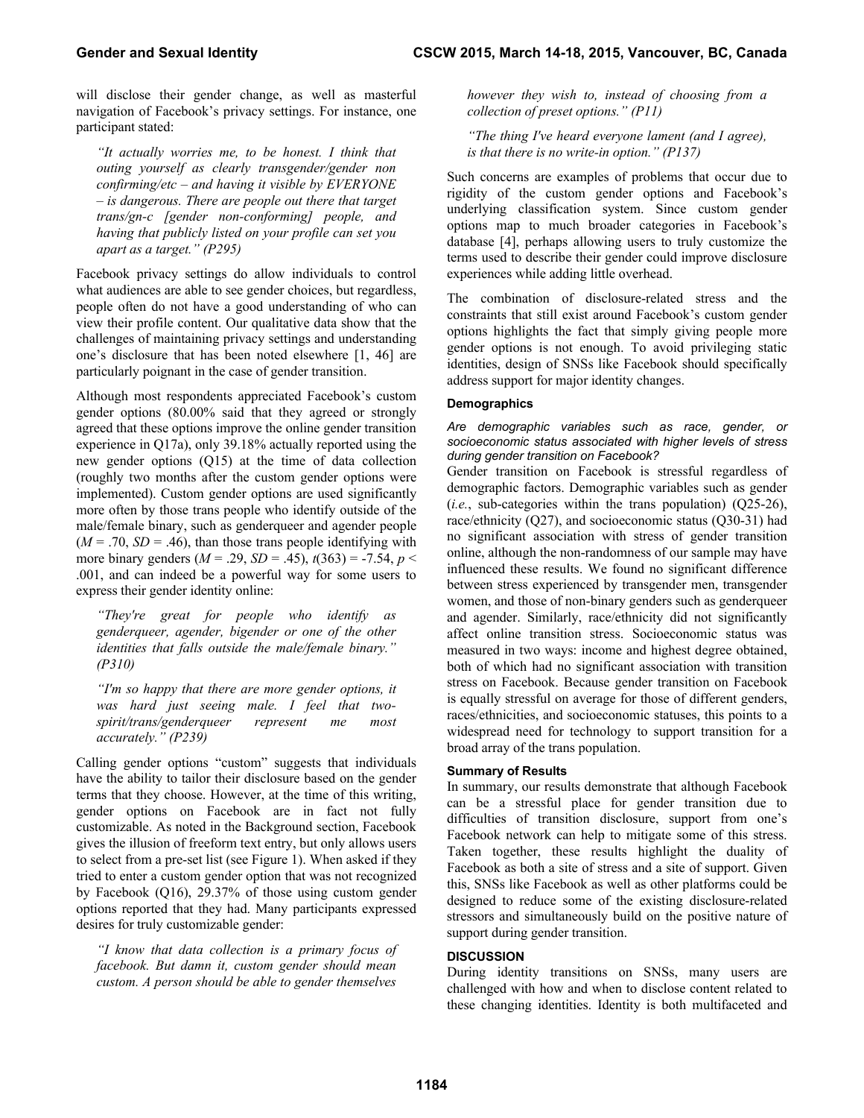will disclose their gender change, as well as masterful navigation of Facebook's privacy settings. For instance, one participant stated:

*"It actually worries me, to be honest. I think that outing yourself as clearly transgender/gender non confirming/etc – and having it visible by EVERYONE – is dangerous. There are people out there that target trans/gn-c [gender non-conforming] people, and having that publicly listed on your profile can set you apart as a target." (P295)*

Facebook privacy settings do allow individuals to control what audiences are able to see gender choices, but regardless, people often do not have a good understanding of who can view their profile content. Our qualitative data show that the challenges of maintaining privacy settings and understanding one's disclosure that has been noted elsewhere [1, 46] are particularly poignant in the case of gender transition.

Although most respondents appreciated Facebook's custom gender options (80.00% said that they agreed or strongly agreed that these options improve the online gender transition experience in Q17a), only 39.18% actually reported using the new gender options (Q15) at the time of data collection (roughly two months after the custom gender options were implemented). Custom gender options are used significantly more often by those trans people who identify outside of the male/female binary, such as genderqueer and agender people  $(M = .70, SD = .46)$ , than those trans people identifying with more binary genders  $(M = .29, SD = .45)$ ,  $t(363) = -7.54$ ,  $p <$ .001, and can indeed be a powerful way for some users to express their gender identity online:

*"They're great for people who identify as genderqueer, agender, bigender or one of the other identities that falls outside the male/female binary." (P310)*

*"I'm so happy that there are more gender options, it was hard just seeing male. I feel that twospirit/trans/genderqueer represent me most accurately." (P239)*

Calling gender options "custom" suggests that individuals have the ability to tailor their disclosure based on the gender terms that they choose. However, at the time of this writing, gender options on Facebook are in fact not fully customizable. As noted in the Background section, Facebook gives the illusion of freeform text entry, but only allows users to select from a pre-set list (see Figure 1). When asked if they tried to enter a custom gender option that was not recognized by Facebook (Q16), 29.37% of those using custom gender options reported that they had. Many participants expressed desires for truly customizable gender:

*"I know that data collection is a primary focus of facebook. But damn it, custom gender should mean custom. A person should be able to gender themselves* 

*however they wish to, instead of choosing from a collection of preset options." (P11)*

*"The thing I've heard everyone lament (and I agree), is that there is no write-in option." (P137)*

Such concerns are examples of problems that occur due to rigidity of the custom gender options and Facebook's underlying classification system. Since custom gender options map to much broader categories in Facebook's database [4], perhaps allowing users to truly customize the terms used to describe their gender could improve disclosure experiences while adding little overhead.

The combination of disclosure-related stress and the constraints that still exist around Facebook's custom gender options highlights the fact that simply giving people more gender options is not enough. To avoid privileging static identities, design of SNSs like Facebook should specifically address support for major identity changes.

#### **Demographics**

#### *Are demographic variables such as race, gender, or socioeconomic status associated with higher levels of stress during gender transition on Facebook?*

Gender transition on Facebook is stressful regardless of demographic factors. Demographic variables such as gender (*i.e.*, sub-categories within the trans population) (Q25-26), race/ethnicity (Q27), and socioeconomic status (Q30-31) had no significant association with stress of gender transition online, although the non-randomness of our sample may have influenced these results. We found no significant difference between stress experienced by transgender men, transgender women, and those of non-binary genders such as genderqueer and agender. Similarly, race/ethnicity did not significantly affect online transition stress. Socioeconomic status was measured in two ways: income and highest degree obtained, both of which had no significant association with transition stress on Facebook. Because gender transition on Facebook is equally stressful on average for those of different genders, races/ethnicities, and socioeconomic statuses, this points to a widespread need for technology to support transition for a broad array of the trans population.

#### **Summary of Results**

In summary, our results demonstrate that although Facebook can be a stressful place for gender transition due to difficulties of transition disclosure, support from one's Facebook network can help to mitigate some of this stress. Taken together, these results highlight the duality of Facebook as both a site of stress and a site of support. Given this, SNSs like Facebook as well as other platforms could be designed to reduce some of the existing disclosure-related stressors and simultaneously build on the positive nature of support during gender transition.

# **DISCUSSION**

During identity transitions on SNSs, many users are challenged with how and when to disclose content related to these changing identities. Identity is both multifaceted and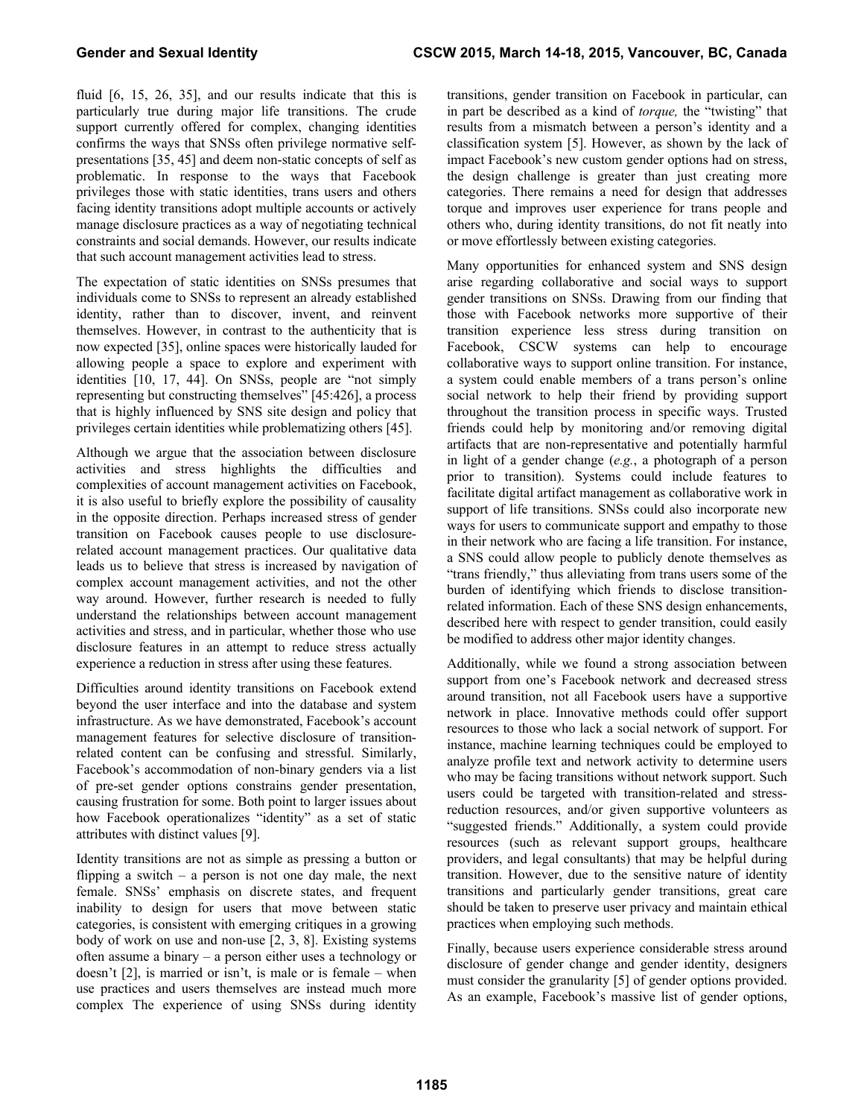fluid [6, 15, 26, 35], and our results indicate that this is particularly true during major life transitions. The crude support currently offered for complex, changing identities confirms the ways that SNSs often privilege normative selfpresentations [35, 45] and deem non-static concepts of self as problematic. In response to the ways that Facebook privileges those with static identities, trans users and others facing identity transitions adopt multiple accounts or actively manage disclosure practices as a way of negotiating technical constraints and social demands. However, our results indicate that such account management activities lead to stress.

The expectation of static identities on SNSs presumes that individuals come to SNSs to represent an already established identity, rather than to discover, invent, and reinvent themselves. However, in contrast to the authenticity that is now expected [35], online spaces were historically lauded for allowing people a space to explore and experiment with identities [10, 17, 44]. On SNSs, people are "not simply representing but constructing themselves" [45:426], a process that is highly influenced by SNS site design and policy that privileges certain identities while problematizing others [45].

Although we argue that the association between disclosure activities and stress highlights the difficulties and complexities of account management activities on Facebook, it is also useful to briefly explore the possibility of causality in the opposite direction. Perhaps increased stress of gender transition on Facebook causes people to use disclosurerelated account management practices. Our qualitative data leads us to believe that stress is increased by navigation of complex account management activities, and not the other way around. However, further research is needed to fully understand the relationships between account management activities and stress, and in particular, whether those who use disclosure features in an attempt to reduce stress actually experience a reduction in stress after using these features.

Difficulties around identity transitions on Facebook extend beyond the user interface and into the database and system infrastructure. As we have demonstrated, Facebook's account management features for selective disclosure of transitionrelated content can be confusing and stressful. Similarly, Facebook's accommodation of non-binary genders via a list of pre-set gender options constrains gender presentation, causing frustration for some. Both point to larger issues about how Facebook operationalizes "identity" as a set of static attributes with distinct values [9].

Identity transitions are not as simple as pressing a button or flipping a switch  $-$  a person is not one day male, the next female. SNSs' emphasis on discrete states, and frequent inability to design for users that move between static categories, is consistent with emerging critiques in a growing body of work on use and non-use [2, 3, 8]. Existing systems often assume a binary – a person either uses a technology or doesn't  $[2]$ , is married or isn't, is male or is female – when use practices and users themselves are instead much more complex The experience of using SNSs during identity transitions, gender transition on Facebook in particular, can in part be described as a kind of *torque,* the "twisting" that results from a mismatch between a person's identity and a classification system [5]. However, as shown by the lack of impact Facebook's new custom gender options had on stress, the design challenge is greater than just creating more categories. There remains a need for design that addresses torque and improves user experience for trans people and others who, during identity transitions, do not fit neatly into or move effortlessly between existing categories.

Many opportunities for enhanced system and SNS design arise regarding collaborative and social ways to support gender transitions on SNSs. Drawing from our finding that those with Facebook networks more supportive of their transition experience less stress during transition on Facebook, CSCW systems can help to encourage collaborative ways to support online transition. For instance, a system could enable members of a trans person's online social network to help their friend by providing support throughout the transition process in specific ways. Trusted friends could help by monitoring and/or removing digital artifacts that are non-representative and potentially harmful in light of a gender change (*e.g.*, a photograph of a person prior to transition). Systems could include features to facilitate digital artifact management as collaborative work in support of life transitions. SNSs could also incorporate new ways for users to communicate support and empathy to those in their network who are facing a life transition. For instance, a SNS could allow people to publicly denote themselves as "trans friendly," thus alleviating from trans users some of the burden of identifying which friends to disclose transitionrelated information. Each of these SNS design enhancements, described here with respect to gender transition, could easily be modified to address other major identity changes.

Additionally, while we found a strong association between support from one's Facebook network and decreased stress around transition, not all Facebook users have a supportive network in place. Innovative methods could offer support resources to those who lack a social network of support. For instance, machine learning techniques could be employed to analyze profile text and network activity to determine users who may be facing transitions without network support. Such users could be targeted with transition-related and stressreduction resources, and/or given supportive volunteers as "suggested friends." Additionally, a system could provide resources (such as relevant support groups, healthcare providers, and legal consultants) that may be helpful during transition. However, due to the sensitive nature of identity transitions and particularly gender transitions, great care should be taken to preserve user privacy and maintain ethical practices when employing such methods.

Finally, because users experience considerable stress around disclosure of gender change and gender identity, designers must consider the granularity [5] of gender options provided. As an example, Facebook's massive list of gender options,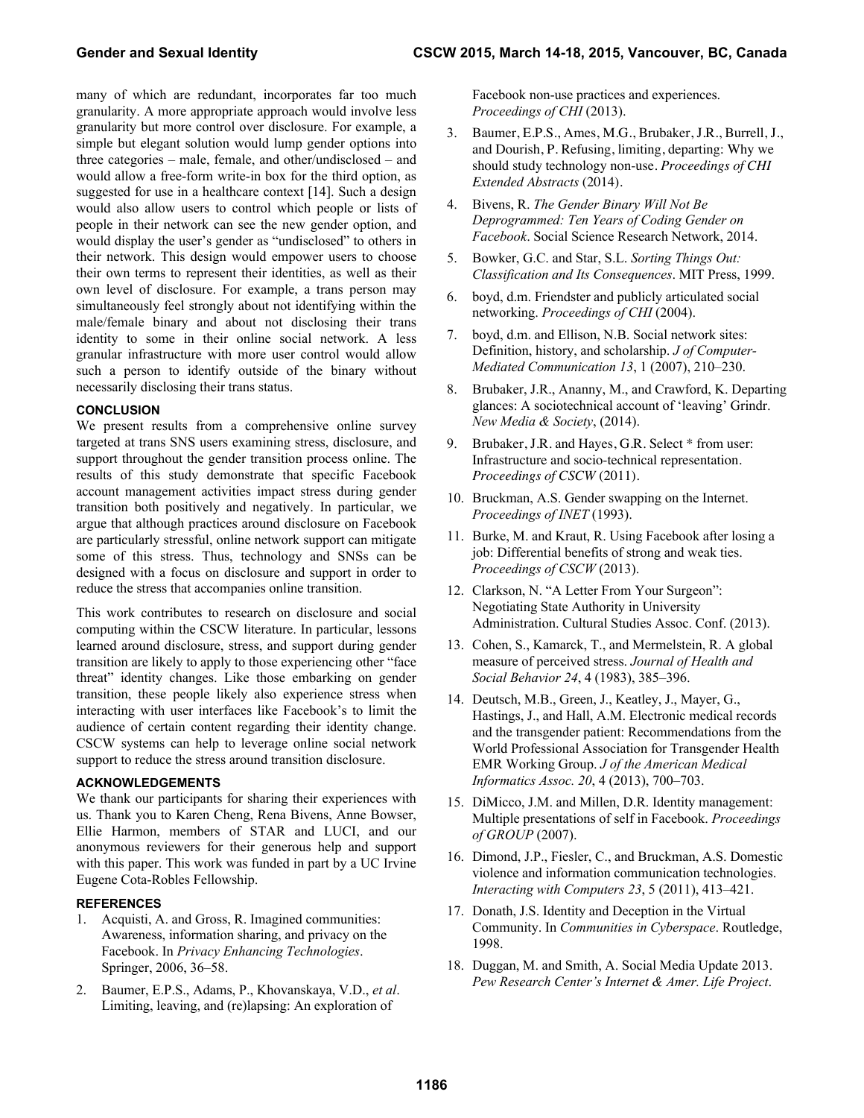many of which are redundant, incorporates far too much granularity. A more appropriate approach would involve less granularity but more control over disclosure. For example, a simple but elegant solution would lump gender options into three categories – male, female, and other/undisclosed – and would allow a free-form write-in box for the third option, as suggested for use in a healthcare context [14]. Such a design would also allow users to control which people or lists of people in their network can see the new gender option, and would display the user's gender as "undisclosed" to others in their network. This design would empower users to choose their own terms to represent their identities, as well as their own level of disclosure. For example, a trans person may simultaneously feel strongly about not identifying within the male/female binary and about not disclosing their trans identity to some in their online social network. A less granular infrastructure with more user control would allow such a person to identify outside of the binary without necessarily disclosing their trans status.

### **CONCLUSION**

We present results from a comprehensive online survey targeted at trans SNS users examining stress, disclosure, and support throughout the gender transition process online. The results of this study demonstrate that specific Facebook account management activities impact stress during gender transition both positively and negatively. In particular, we argue that although practices around disclosure on Facebook are particularly stressful, online network support can mitigate some of this stress. Thus, technology and SNSs can be designed with a focus on disclosure and support in order to reduce the stress that accompanies online transition.

This work contributes to research on disclosure and social computing within the CSCW literature. In particular, lessons learned around disclosure, stress, and support during gender transition are likely to apply to those experiencing other "face threat" identity changes. Like those embarking on gender transition, these people likely also experience stress when interacting with user interfaces like Facebook's to limit the audience of certain content regarding their identity change. CSCW systems can help to leverage online social network support to reduce the stress around transition disclosure.

### **ACKNOWLEDGEMENTS**

We thank our participants for sharing their experiences with us. Thank you to Karen Cheng, Rena Bivens, Anne Bowser, Ellie Harmon, members of STAR and LUCI, and our anonymous reviewers for their generous help and support with this paper. This work was funded in part by a UC Irvine Eugene Cota-Robles Fellowship.

# **REFERENCES**

- 1. Acquisti, A. and Gross, R. Imagined communities: Awareness, information sharing, and privacy on the Facebook. In *Privacy Enhancing Technologies*. Springer, 2006, 36–58.
- 2. Baumer, E.P.S., Adams, P., Khovanskaya, V.D., *et al*. Limiting, leaving, and (re)lapsing: An exploration of

Facebook non-use practices and experiences. *Proceedings of CHI* (2013).

- 3. Baumer, E.P.S., Ames, M.G., Brubaker, J.R., Burrell, J., and Dourish, P. Refusing, limiting, departing: Why we should study technology non-use. *Proceedings of CHI Extended Abstracts* (2014).
- 4. Bivens, R. *The Gender Binary Will Not Be Deprogrammed: Ten Years of Coding Gender on Facebook*. Social Science Research Network, 2014.
- 5. Bowker, G.C. and Star, S.L. *Sorting Things Out: Classification and Its Consequences*. MIT Press, 1999.
- 6. boyd, d.m. Friendster and publicly articulated social networking. *Proceedings of CHI* (2004).
- 7. boyd, d.m. and Ellison, N.B. Social network sites: Definition, history, and scholarship. *J of Computer-Mediated Communication 13*, 1 (2007), 210–230.
- 8. Brubaker, J.R., Ananny, M., and Crawford, K. Departing glances: A sociotechnical account of 'leaving' Grindr. *New Media & Society*, (2014).
- 9. Brubaker, J.R. and Hayes, G.R. Select \* from user: Infrastructure and socio-technical representation. *Proceedings of CSCW* (2011).
- 10. Bruckman, A.S. Gender swapping on the Internet. *Proceedings of INET* (1993).
- 11. Burke, M. and Kraut, R. Using Facebook after losing a job: Differential benefits of strong and weak ties. *Proceedings of CSCW* (2013).
- 12. Clarkson, N. "A Letter From Your Surgeon": Negotiating State Authority in University Administration. Cultural Studies Assoc. Conf. (2013).
- 13. Cohen, S., Kamarck, T., and Mermelstein, R. A global measure of perceived stress. *Journal of Health and Social Behavior 24*, 4 (1983), 385–396.
- 14. Deutsch, M.B., Green, J., Keatley, J., Mayer, G., Hastings, J., and Hall, A.M. Electronic medical records and the transgender patient: Recommendations from the World Professional Association for Transgender Health EMR Working Group. *J of the American Medical Informatics Assoc. 20*, 4 (2013), 700–703.
- 15. DiMicco, J.M. and Millen, D.R. Identity management: Multiple presentations of self in Facebook. *Proceedings of GROUP* (2007).
- 16. Dimond, J.P., Fiesler, C., and Bruckman, A.S. Domestic violence and information communication technologies. *Interacting with Computers 23*, 5 (2011), 413–421.
- 17. Donath, J.S. Identity and Deception in the Virtual Community. In *Communities in Cyberspace*. Routledge, 1998.
- 18. Duggan, M. and Smith, A. Social Media Update 2013. *Pew Research Center's Internet & Amer. Life Project*.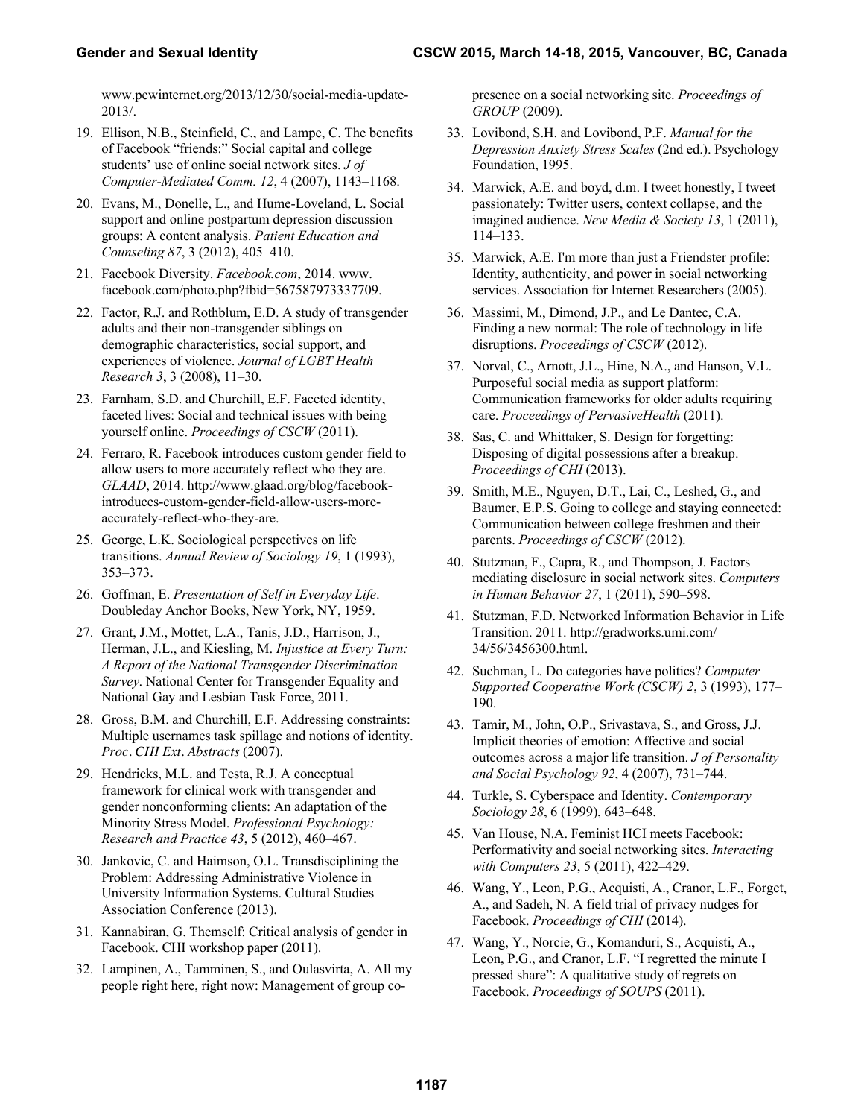www.pewinternet.org/2013/12/30/social-media-update-2013/.

- 19. Ellison, N.B., Steinfield, C., and Lampe, C. The benefits of Facebook "friends:" Social capital and college students' use of online social network sites. *J of Computer-Mediated Comm. 12*, 4 (2007), 1143–1168.
- 20. Evans, M., Donelle, L., and Hume-Loveland, L. Social support and online postpartum depression discussion groups: A content analysis. *Patient Education and Counseling 87*, 3 (2012), 405–410.
- 21. Facebook Diversity. *Facebook.com*, 2014. www. facebook.com/photo.php?fbid=567587973337709.
- 22. Factor, R.J. and Rothblum, E.D. A study of transgender adults and their non-transgender siblings on demographic characteristics, social support, and experiences of violence. *Journal of LGBT Health Research 3*, 3 (2008), 11–30.
- 23. Farnham, S.D. and Churchill, E.F. Faceted identity, faceted lives: Social and technical issues with being yourself online. *Proceedings of CSCW* (2011).
- 24. Ferraro, R. Facebook introduces custom gender field to allow users to more accurately reflect who they are. *GLAAD*, 2014. http://www.glaad.org/blog/facebookintroduces-custom-gender-field-allow-users-moreaccurately-reflect-who-they-are.
- 25. George, L.K. Sociological perspectives on life transitions. *Annual Review of Sociology 19*, 1 (1993), 353–373.
- 26. Goffman, E. *Presentation of Self in Everyday Life*. Doubleday Anchor Books, New York, NY, 1959.
- 27. Grant, J.M., Mottet, L.A., Tanis, J.D., Harrison, J., Herman, J.L., and Kiesling, M. *Injustice at Every Turn: A Report of the National Transgender Discrimination Survey*. National Center for Transgender Equality and National Gay and Lesbian Task Force, 2011.
- 28. Gross, B.M. and Churchill, E.F. Addressing constraints: Multiple usernames task spillage and notions of identity. *Proc. CHI Ext. Abstracts* (2007).
- 29. Hendricks, M.L. and Testa, R.J. A conceptual framework for clinical work with transgender and gender nonconforming clients: An adaptation of the Minority Stress Model. *Professional Psychology: Research and Practice 43*, 5 (2012), 460–467.
- 30. Jankovic, C. and Haimson, O.L. Transdisciplining the Problem: Addressing Administrative Violence in University Information Systems. Cultural Studies Association Conference (2013).
- 31. Kannabiran, G. Themself: Critical analysis of gender in Facebook. CHI workshop paper (2011).
- 32. Lampinen, A., Tamminen, S., and Oulasvirta, A. All my people right here, right now: Management of group co-

presence on a social networking site. *Proceedings of GROUP* (2009).

- 33. Lovibond, S.H. and Lovibond, P.F. *Manual for the Depression Anxiety Stress Scales* (2nd ed.). Psychology Foundation, 1995.
- 34. Marwick, A.E. and boyd, d.m. I tweet honestly, I tweet passionately: Twitter users, context collapse, and the imagined audience. *New Media & Society 13*, 1 (2011), 114–133.
- 35. Marwick, A.E. I'm more than just a Friendster profile: Identity, authenticity, and power in social networking services. Association for Internet Researchers (2005).
- 36. Massimi, M., Dimond, J.P., and Le Dantec, C.A. Finding a new normal: The role of technology in life disruptions. *Proceedings of CSCW* (2012).
- 37. Norval, C., Arnott, J.L., Hine, N.A., and Hanson, V.L. Purposeful social media as support platform: Communication frameworks for older adults requiring care. *Proceedings of PervasiveHealth* (2011).
- 38. Sas, C. and Whittaker, S. Design for forgetting: Disposing of digital possessions after a breakup. *Proceedings of CHI* (2013).
- 39. Smith, M.E., Nguyen, D.T., Lai, C., Leshed, G., and Baumer, E.P.S. Going to college and staying connected: Communication between college freshmen and their parents. *Proceedings of CSCW* (2012).
- 40. Stutzman, F., Capra, R., and Thompson, J. Factors mediating disclosure in social network sites. *Computers in Human Behavior 27*, 1 (2011), 590–598.
- 41. Stutzman, F.D. Networked Information Behavior in Life Transition. 2011. http://gradworks.umi.com/ 34/56/3456300.html.
- 42. Suchman, L. Do categories have politics? *Computer Supported Cooperative Work (CSCW) 2*, 3 (1993), 177– 190.
- 43. Tamir, M., John, O.P., Srivastava, S., and Gross, J.J. Implicit theories of emotion: Affective and social outcomes across a major life transition. *J of Personality and Social Psychology 92*, 4 (2007), 731–744.
- 44. Turkle, S. Cyberspace and Identity. *Contemporary Sociology 28*, 6 (1999), 643–648.
- 45. Van House, N.A. Feminist HCI meets Facebook: Performativity and social networking sites. *Interacting with Computers 23*, 5 (2011), 422–429.
- 46. Wang, Y., Leon, P.G., Acquisti, A., Cranor, L.F., Forget, A., and Sadeh, N. A field trial of privacy nudges for Facebook. *Proceedings of CHI* (2014).
- 47. Wang, Y., Norcie, G., Komanduri, S., Acquisti, A., Leon, P.G., and Cranor, L.F. "I regretted the minute I pressed share": A qualitative study of regrets on Facebook. *Proceedings of SOUPS* (2011).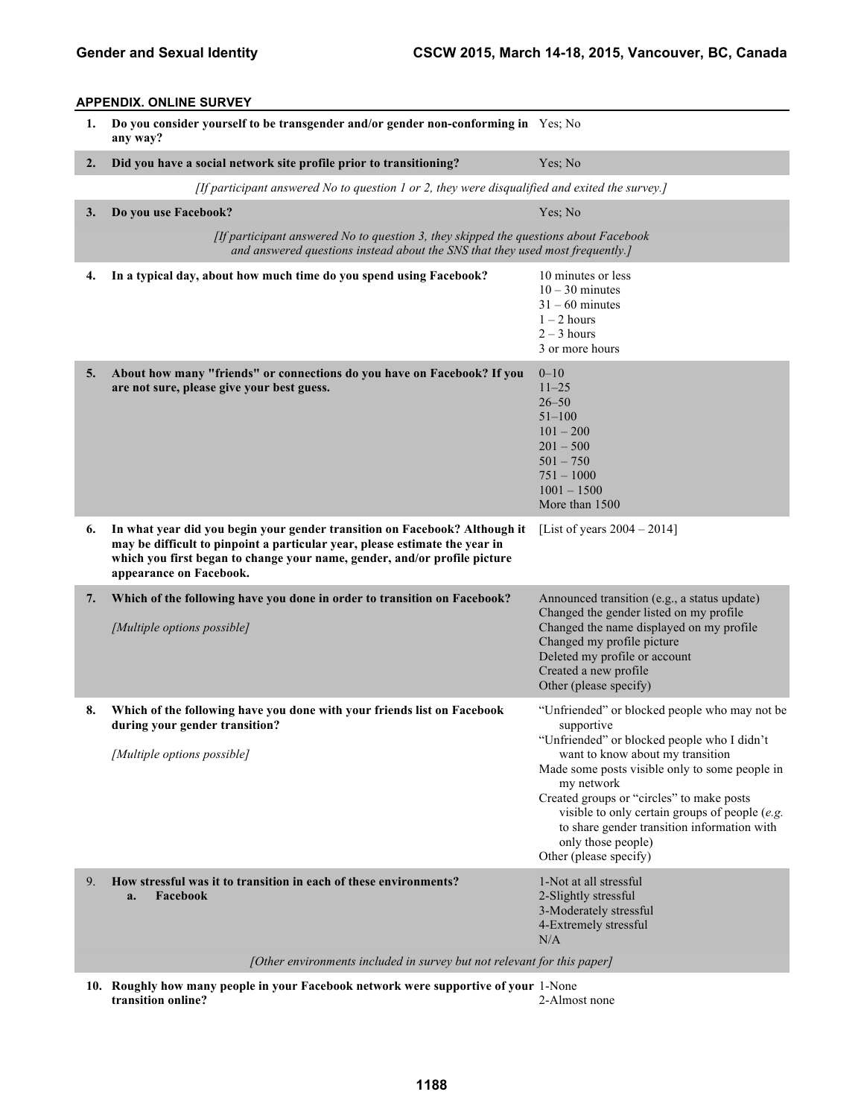|    | <b>APPENDIX. ONLINE SURVEY</b>                                                                                                                                                                                                                                    |                                                                                                                                                                                                                                                                                                                                                                                                              |  |  |  |
|----|-------------------------------------------------------------------------------------------------------------------------------------------------------------------------------------------------------------------------------------------------------------------|--------------------------------------------------------------------------------------------------------------------------------------------------------------------------------------------------------------------------------------------------------------------------------------------------------------------------------------------------------------------------------------------------------------|--|--|--|
| 1. | Do you consider yourself to be transgender and/or gender non-conforming in Yes; No<br>any way?                                                                                                                                                                    |                                                                                                                                                                                                                                                                                                                                                                                                              |  |  |  |
| 2. | Did you have a social network site profile prior to transitioning?                                                                                                                                                                                                | Yes; No                                                                                                                                                                                                                                                                                                                                                                                                      |  |  |  |
|    | [If participant answered No to question 1 or 2, they were disqualified and exited the survey.]                                                                                                                                                                    |                                                                                                                                                                                                                                                                                                                                                                                                              |  |  |  |
| 3. | Do you use Facebook?                                                                                                                                                                                                                                              | Yes; No                                                                                                                                                                                                                                                                                                                                                                                                      |  |  |  |
|    | [If participant answered No to question 3, they skipped the questions about Facebook<br>and answered questions instead about the SNS that they used most frequently.]                                                                                             |                                                                                                                                                                                                                                                                                                                                                                                                              |  |  |  |
| 4. | In a typical day, about how much time do you spend using Facebook?                                                                                                                                                                                                | 10 minutes or less<br>$10 - 30$ minutes<br>$31 - 60$ minutes<br>$1 - 2$ hours<br>$2 - 3$ hours<br>3 or more hours                                                                                                                                                                                                                                                                                            |  |  |  |
| 5. | About how many "friends" or connections do you have on Facebook? If you<br>are not sure, please give your best guess.                                                                                                                                             | $0 - 10$<br>$11 - 25$<br>$26 - 50$<br>$51 - 100$<br>$101 - 200$<br>$201 - 500$<br>$501 - 750$<br>$751 - 1000$<br>$1001 - 1500$<br>More than 1500                                                                                                                                                                                                                                                             |  |  |  |
| 6. | In what year did you begin your gender transition on Facebook? Although it<br>may be difficult to pinpoint a particular year, please estimate the year in<br>which you first began to change your name, gender, and/or profile picture<br>appearance on Facebook. | [List of years $2004 - 2014$ ]                                                                                                                                                                                                                                                                                                                                                                               |  |  |  |
| 7. | Which of the following have you done in order to transition on Facebook?<br>[Multiple options possible]                                                                                                                                                           | Announced transition (e.g., a status update)<br>Changed the gender listed on my profile<br>Changed the name displayed on my profile<br>Changed my profile picture<br>Deleted my profile or account<br>Created a new profile<br>Other (please specify)                                                                                                                                                        |  |  |  |
| 8. | Which of the following have you done with your friends list on Facebook<br>during your gender transition?<br>[Multiple options possible]                                                                                                                          | "Unfriended" or blocked people who may not be<br>supportive<br>"Unfriended" or blocked people who I didn't<br>want to know about my transition<br>Made some posts visible only to some people in<br>my network<br>Created groups or "circles" to make posts<br>visible to only certain groups of people (e.g.<br>to share gender transition information with<br>only those people)<br>Other (please specify) |  |  |  |
| 9. | How stressful was it to transition in each of these environments?<br>Facebook<br>a.                                                                                                                                                                               | 1-Not at all stressful<br>2-Slightly stressful<br>3-Moderately stressful<br>4-Extremely stressful<br>N/A                                                                                                                                                                                                                                                                                                     |  |  |  |
|    | [Other environments included in survey but not relevant for this paper]                                                                                                                                                                                           |                                                                                                                                                                                                                                                                                                                                                                                                              |  |  |  |

**10. Roughly how many people in your Facebook network were supportive of your**  1-None **transition online?** 2-Almost none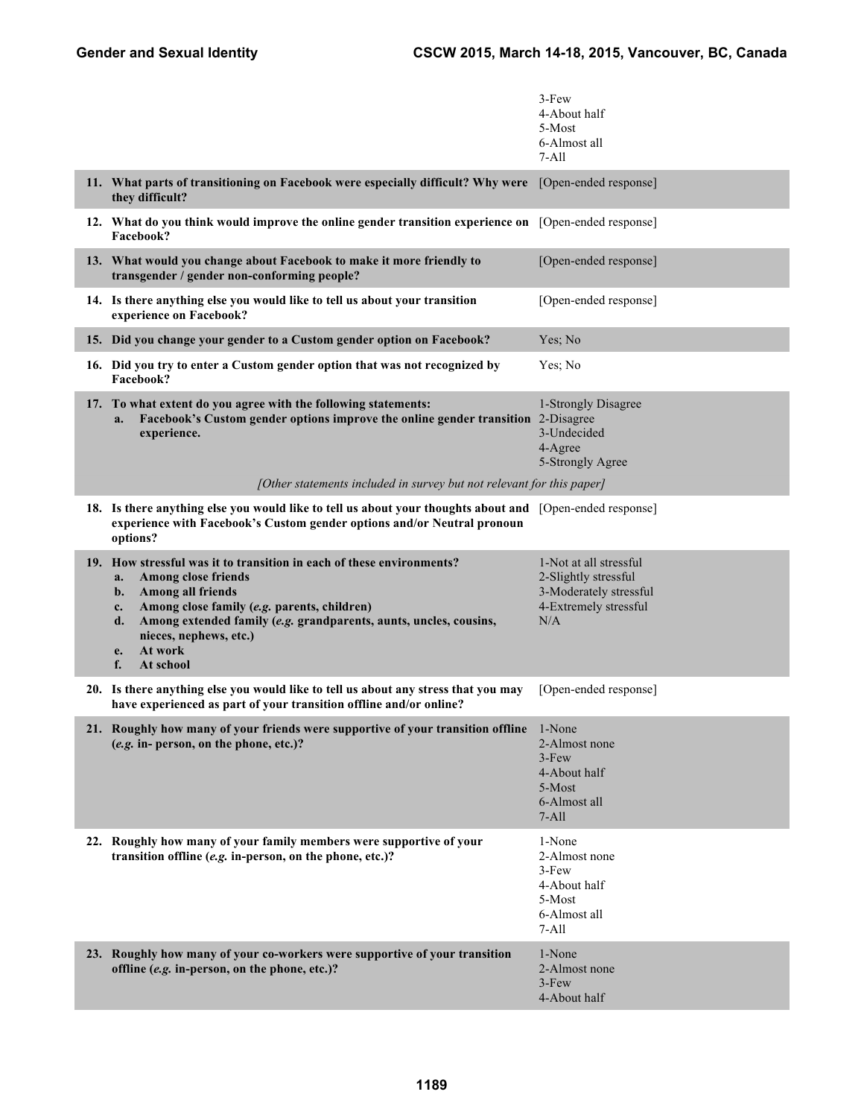|                                                                                                                                                                                                                                                                                                                             | 3-Few<br>4-About half<br>5-Most<br>6-Almost all<br>$7-All$                                               |
|-----------------------------------------------------------------------------------------------------------------------------------------------------------------------------------------------------------------------------------------------------------------------------------------------------------------------------|----------------------------------------------------------------------------------------------------------|
| 11. What parts of transitioning on Facebook were especially difficult? Why were<br>they difficult?                                                                                                                                                                                                                          | [Open-ended response]                                                                                    |
| 12. What do you think would improve the online gender transition experience on [Open-ended response]<br>Facebook?                                                                                                                                                                                                           |                                                                                                          |
| 13. What would you change about Facebook to make it more friendly to<br>transgender / gender non-conforming people?                                                                                                                                                                                                         | [Open-ended response]                                                                                    |
| 14. Is there anything else you would like to tell us about your transition<br>experience on Facebook?                                                                                                                                                                                                                       | [Open-ended response]                                                                                    |
| 15. Did you change your gender to a Custom gender option on Facebook?                                                                                                                                                                                                                                                       | Yes; No                                                                                                  |
| 16. Did you try to enter a Custom gender option that was not recognized by<br>Facebook?                                                                                                                                                                                                                                     | Yes; No                                                                                                  |
| 17. To what extent do you agree with the following statements:<br>Facebook's Custom gender options improve the online gender transition 2-Disagree<br>a.<br>experience.                                                                                                                                                     | 1-Strongly Disagree<br>3-Undecided<br>4-Agree<br>5-Strongly Agree                                        |
| [Other statements included in survey but not relevant for this paper]                                                                                                                                                                                                                                                       |                                                                                                          |
| 18. Is there anything else you would like to tell us about your thoughts about and [Open-ended response]<br>experience with Facebook's Custom gender options and/or Neutral pronoun<br>options?                                                                                                                             |                                                                                                          |
| 19. How stressful was it to transition in each of these environments?<br>Among close friends<br>a.<br>Among all friends<br>b.<br>Among close family (e.g. parents, children)<br>c.<br>Among extended family (e.g. grandparents, aunts, uncles, cousins,<br>d.<br>nieces, nephews, etc.)<br>At work<br>e.<br>f.<br>At school | 1-Not at all stressful<br>2-Slightly stressful<br>3-Moderately stressful<br>4-Extremely stressful<br>N/A |
| 20. Is there anything else you would like to tell us about any stress that you may<br>have experienced as part of your transition offline and/or online?                                                                                                                                                                    | [Open-ended response]                                                                                    |
| 21. Roughly how many of your friends were supportive of your transition offline<br>(e.g. in- person, on the phone, etc.)?                                                                                                                                                                                                   | 1-None<br>2-Almost none<br>$3-Few$<br>4-About half<br>5-Most<br>6-Almost all<br>$7-A11$                  |
| 22. Roughly how many of your family members were supportive of your<br>transition offline (e.g. in-person, on the phone, etc.)?                                                                                                                                                                                             | 1-None<br>2-Almost none<br>$3-Few$<br>4-About half<br>5-Most<br>6-Almost all<br>$7-All$                  |
| 23. Roughly how many of your co-workers were supportive of your transition<br>offline (e.g. in-person, on the phone, etc.)?                                                                                                                                                                                                 | 1-None<br>2-Almost none<br>$3-Few$<br>4-About half                                                       |